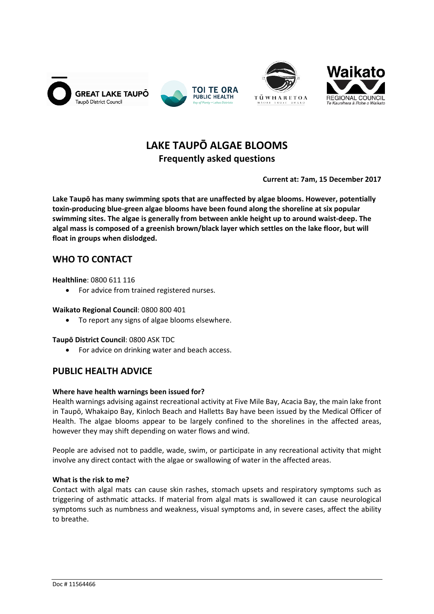







# **LAKE TAUPŌ ALGAE BLOOMS Frequently asked questions**

**Current at: 7am, 15 December 2017**

**Lake Taupō has many swimming spots that are unaffected by algae blooms. However, potentially toxin‐producing blue‐green algae blooms have been found along the shoreline at six popular swimming sites. The algae is generally from between ankle height up to around waist‐deep. The algal mass is composed of a greenish brown/black layer which settles on the lake floor, but will float in groups when dislodged.**

## **WHO TO CONTACT**

**Healthline**: 0800 611 116

• For advice from trained registered nurses.

## **Waikato Regional Council**: 0800 800 401

To report any signs of algae blooms elsewhere.

## **Taupō District Council**: 0800 ASK TDC

• For advice on drinking water and beach access.

## **PUBLIC HEALTH ADVICE**

## **Where have health warnings been issued for?**

Health warnings advising against recreational activity at Five Mile Bay, Acacia Bay, the main lake front in Taupō, Whakaipo Bay, Kinloch Beach and Halletts Bay have been issued by the Medical Officer of Health. The algae blooms appear to be largely confined to the shorelines in the affected areas, however they may shift depending on water flows and wind.

People are advised not to paddle, wade, swim, or participate in any recreational activity that might involve any direct contact with the algae or swallowing of water in the affected areas.

## **What is the risk to me?**

Contact with algal mats can cause skin rashes, stomach upsets and respiratory symptoms such as triggering of asthmatic attacks. If material from algal mats is swallowed it can cause neurological symptoms such as numbness and weakness, visual symptoms and, in severe cases, affect the ability to breathe.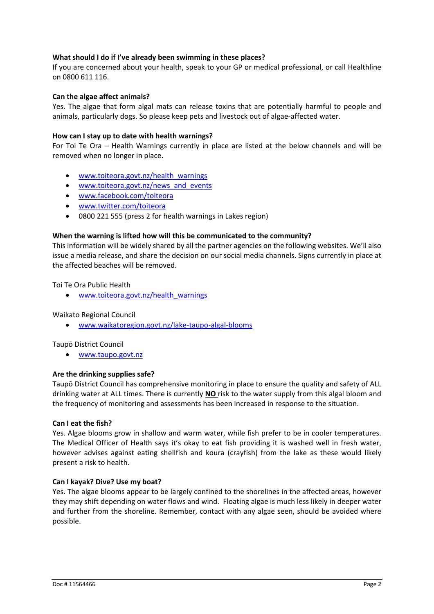## **What should I do if I've already been swimming in these places?**

If you are concerned about your health, speak to your GP or medical professional, or call Healthline on 0800 611 116.

## **Can the algae affect animals?**

Yes. The algae that form algal mats can release toxins that are potentially harmful to people and animals, particularly dogs. So please keep pets and livestock out of algae-affected water.

## **How can I stay up to date with health warnings?**

For Toi Te Ora – Health Warnings currently in place are listed at the below channels and will be removed when no longer in place.

- www.toiteora.govt.nz/health\_warnings
- www.toiteora.govt.nz/news and events
- www.facebook.com/toiteora
- www.twitter.com/toiteora
- 0800 221 555 (press 2 for health warnings in Lakes region)

## **When the warning is lifted how will this be communicated to the community?**

This information will be widely shared by all the partner agencies on the following websites. We'll also issue a media release, and share the decision on our social media channels. Signs currently in place at the affected beaches will be removed.

Toi Te Ora Public Health

www.toiteora.govt.nz/health\_warnings

## Waikato Regional Council

www.waikatoregion.govt.nz/lake‐taupo‐algal‐blooms

## Taupō District Council

www.taupo.govt.nz

## **Are the drinking supplies safe?**

Taupō District Council has comprehensive monitoring in place to ensure the quality and safety of ALL drinking water at ALL times. There is currently **NO** risk to the water supply from this algal bloom and the frequency of monitoring and assessments has been increased in response to the situation.

## **Can I eat the fish?**

Yes. Algae blooms grow in shallow and warm water, while fish prefer to be in cooler temperatures. The Medical Officer of Health says it's okay to eat fish providing it is washed well in fresh water, however advises against eating shellfish and koura (crayfish) from the lake as these would likely present a risk to health.

## **Can I kayak? Dive? Use my boat?**

Yes. The algae blooms appear to be largely confined to the shorelines in the affected areas, however they may shift depending on water flows and wind. Floating algae is much less likely in deeper water and further from the shoreline. Remember, contact with any algae seen, should be avoided where possible.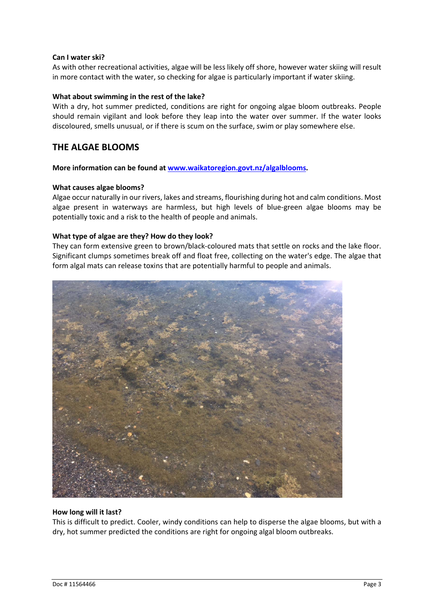## **Can I water ski?**

As with other recreational activities, algae will be less likely off shore, however water skiing will result in more contact with the water, so checking for algae is particularly important if water skiing.

#### **What about swimming in the rest of the lake?**

With a dry, hot summer predicted, conditions are right for ongoing algae bloom outbreaks. People should remain vigilant and look before they leap into the water over summer. If the water looks discoloured, smells unusual, or if there is scum on the surface, swim or play somewhere else.

## **THE ALGAE BLOOMS**

**More information can be found at www.waikatoregion.govt.nz/algalblooms.**

#### **What causes algae blooms?**

Algae occur naturally in our rivers, lakes and streams, flourishing during hot and calm conditions. Most algae present in waterways are harmless, but high levels of blue‐green algae blooms may be potentially toxic and a risk to the health of people and animals.

## **What type of algae are they? How do they look?**

They can form extensive green to brown/black-coloured mats that settle on rocks and the lake floor. Significant clumps sometimes break off and float free, collecting on the water's edge. The algae that form algal mats can release toxins that are potentially harmful to people and animals.



## **How long will it last?**

This is difficult to predict. Cooler, windy conditions can help to disperse the algae blooms, but with a dry, hot summer predicted the conditions are right for ongoing algal bloom outbreaks.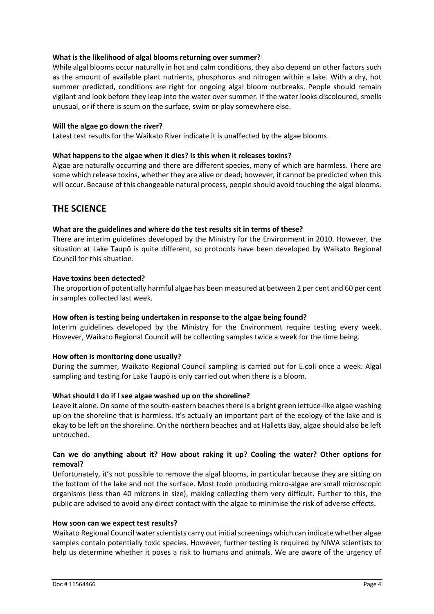## **What is the likelihood of algal blooms returning over summer?**

While algal blooms occur naturally in hot and calm conditions, they also depend on other factors such as the amount of available plant nutrients, phosphorus and nitrogen within a lake. With a dry, hot summer predicted, conditions are right for ongoing algal bloom outbreaks. People should remain vigilant and look before they leap into the water over summer. If the water looks discoloured, smells unusual, or if there is scum on the surface, swim or play somewhere else.

## **Will the algae go down the river?**

Latest test results for the Waikato River indicate it is unaffected by the algae blooms.

## **What happens to the algae when it dies? Is this when it releases toxins?**

Algae are naturally occurring and there are different species, many of which are harmless. There are some which release toxins, whether they are alive or dead; however, it cannot be predicted when this will occur. Because of this changeable natural process, people should avoid touching the algal blooms.

## **THE SCIENCE**

## **What are the guidelines and where do the test results sit in terms of these?**

There are interim guidelines developed by the Ministry for the Environment in 2010. However, the situation at Lake Taupō is quite different, so protocols have been developed by Waikato Regional Council for this situation.

## **Have toxins been detected?**

The proportion of potentially harmful algae has been measured at between 2 per cent and 60 per cent in samples collected last week.

## **How often is testing being undertaken in response to the algae being found?**

Interim guidelines developed by the Ministry for the Environment require testing every week. However, Waikato Regional Council will be collecting samples twice a week for the time being.

## **How often is monitoring done usually?**

During the summer, Waikato Regional Council sampling is carried out for E.coli once a week. Algal sampling and testing for Lake Taupō is only carried out when there is a bloom.

## **What should I do if I see algae washed up on the shoreline?**

Leave it alone. On some of the south-eastern beaches there is a bright green lettuce-like algae washing up on the shoreline that is harmless. It's actually an important part of the ecology of the lake and is okay to be left on the shoreline. On the northern beaches and at Halletts Bay, algae should also be left untouched.

## **Can we do anything about it? How about raking it up? Cooling the water? Other options for removal?**

Unfortunately, it's not possible to remove the algal blooms, in particular because they are sitting on the bottom of the lake and not the surface. Most toxin producing micro-algae are small microscopic organisms (less than 40 microns in size), making collecting them very difficult. Further to this, the public are advised to avoid any direct contact with the algae to minimise the risk of adverse effects.

## **How soon can we expect test results?**

Waikato Regional Council water scientists carry out initial screenings which can indicate whether algae samples contain potentially toxic species. However, further testing is required by NIWA scientists to help us determine whether it poses a risk to humans and animals. We are aware of the urgency of